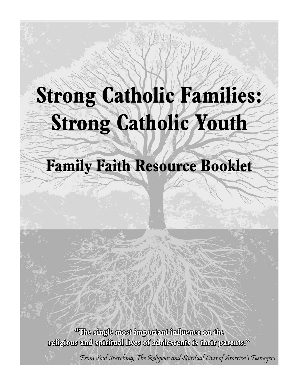# **Strong Catholic Families: Strong Catholic Youth**

## **Family Faith Resource Booklet**

**"The single most important in The !uence on the religious and spiritual lives of adolescents is their parents." eligious parents. "** 

From Soul Searching, The Religious and Spiritual Lives of America's Teenagers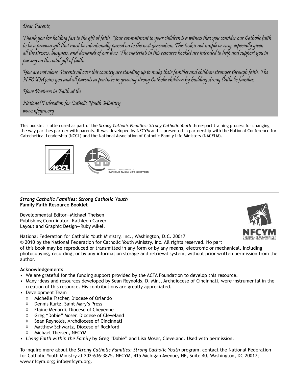### Dear Parents,

Thank you for holding fast to the gift of faith. Your commitment to your children is a witness that you consider our Catholic faith to be a precious gift that must be intentionally passed on to the next generation. This task is not simple or easy, especially given all the stresses, busyness, and demands of our lives. The materials in this resource booklet are intended to help and support you in passing on this vital gift of faith.

You are not alone. Parents all over this country are standing up to make their families and children stronger through faith. The NFCYM joins you and all parents as partners in growing strong Catholic children by building strong Catholic families.

Your Partners in Faith at the

National Federation for Catholic Youth Ministry www.nfcym.org

This booklet is often used as part of the *Strong Catholic Families: Strong Catholic Youth* three-part training process for changing the way parishes partner with parents. It was developed by NFCYM and is presented in partnership with the National Conference for Catechetical Leadership (NCCL) and the National Association of Catholic Family Life Ministers (NACFLM).



### *Strong Catholic Families: Strong Catholic Youth* **Family Faith Resource Booklet**

Developmental Editor—Michael Theisen Publishing Coordinator—Kathleen Carver Layout and Graphic Design—Ruby Mikell



National Federation for Catholic Youth Ministry, Inc., Washington, D.C. 20017

© 2010 by the National Federation for Catholic Youth Ministry, Inc. All rights reserved. No part

of this book may be reproduced or transmitted in any form or by any means, electronic or mechanical, including photocopying, recording, or by any information storage and retrieval system, without prior written permission from the author.

#### **Acknowledgements**

- We are grateful for the funding support provided by the ACTA Foundation to develop this resource.
- Many ideas and resources developed by Sean Reynolds, D. Min., Archdiocese of Cincinnati, were instrumental in the creation of this resource. His contributions are greatly appreciated.
- Development Team
	- $\Diamond$  Michelle Fischer, Diocese of Orlando
	- $\lozenge$  Dennis Kurtz, Saint Mary's Press
	- $\Diamond$  Elaine Menardi, Diocese of Cheyenne
	- ♦ Greg "Dobie" Moser, Diocese of Cleveland
	- $\Diamond$  Sean Reynolds, Archdiocese of Cincinnati
	- $\Diamond$  Matthew Schwartz, Diocese of Rockford
	- $\lozenge$  Michael Theisen, NFCYM
- *Living Faith within the Family* by Greg "Dobie" and Lisa Moser, Cleveland. Used with permission.

To inquire more about the *Strong Catholic Families: Strong Catholic Youth* program, contact the National Federation for Catholic Youth Ministry at 202-636-3825. NFCYM, 415 Michigan Avenue, NE, Suite 40, Washington, DC 20017; www.nfcym.org; info@nfcym.org.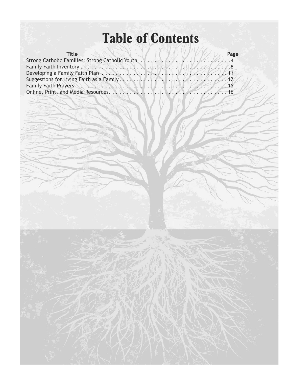## **Table of Contents**

| <b>Title</b>                                    | Page |
|-------------------------------------------------|------|
| Strong Catholic Families: Strong Catholic Youth |      |
|                                                 |      |
|                                                 |      |
|                                                 |      |
|                                                 |      |
|                                                 |      |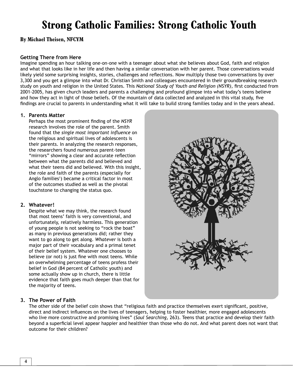### **Strong Catholic Families: Strong Catholic Youth**

**By Michael Theisen, NFCYM**

### **Getting There from Here**

Imagine spending an hour talking one-on-one with a teenager about what she believes about God, faith and religion and what that looks like in her life and then having a similar conversation with her parent. Those conversations would likely yield some surprising insights, stories, challenges and reflections. Now multiply those two conversations by over 3,300 and you get a glimpse into what Dr. Christian Smith and colleagues encountered in their groundbreaking research study on youth and religion in the United States. This *National Study of Youth and Religion (NSYR)*, first conducted from 2001-2005, has given church leaders and parents a challenging and profound glimpse into what today's teens believe and how they act in light of those beliefs. Of the mountain of data collected and analyzed in this vital study, five findings are crucial to parents in understanding what it will take to build strong families today and in the years ahead.

#### **1. Parents Matter**

Perhaps the most prominent finding of the NSYR research involves the role of the parent. Smith found that the *single most important influence* on the religious and spiritual lives of adolescents is their parents. In analyzing the research responses, the researchers found numerous parent-teen "mirrors" showing a clear and accurate reflection between what the parents did and believed and what their teens did and believed. With this insight, the role and faith of the parents (especially for Anglo families<sup>1</sup>) became a critical factor in most of the outcomes studied as well as the pivotal touchstone to changing the status quo.

### **2. Whatever!**

Despite what we may think, the research found that most teens' faith is very conventional, and unfortunately, relatively harmless. This generation of young people is not seeking to "rock the boat" as many in previous generations did; rather they want to go along to get along. *Whatever* is both a major part of their vocabulary and a primal tenet of their belief system. Whatever one chooses to believe (or not) is just fine with most teens. While an overwhelming percentage of teens profess their belief in God (84 percent of Catholic youth) and some actually show up in church, there is little evidence that faith goes much deeper than that for the majority of teens.



### **3. The Power of Faith**

The other side of the belief coin shows that "religious faith and practice themselves exert significant, positive, direct and indirect influences on the lives of teenagers, helping to foster healthier, more engaged adolescents who live more constructive and promising lives" (*Soul Searching,* 263). Teens that practice and develop their faith beyond a superficial level appear happier and healthier than those who do not. And what parent does not want that outcome for their children?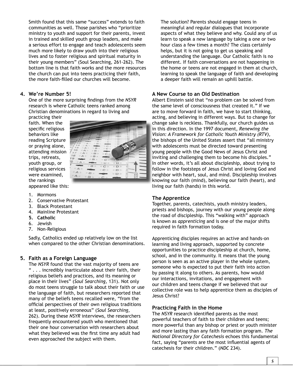Smith found that this same "success" extends to faith communities as well. Those parishes who "prioritize ministry to youth and support for their parents, invest in trained and skilled youth group leaders, and make a serious effort to engage and teach adolescents seem much more likely to draw youth into their religious lives and to foster religious and spiritual maturity in their young members" (Soul Searching, 261-262). The bottom line is that faith works and the more resources the church can put into teens practicing their faith, the more faith-filled our churches will become.

### **4. We're Number 5!**

One of the more surprising findings from the *NSYR* research is where Catholic teens ranked among Christian denominations in regard to living and

practicing their faith. When the specific religious behaviors like reading Scripture or praying alone, attending mission trips, retreats, youth group, or religious services were examined, the rankings appeared like this:



- 
- 1. Mormons 2. Conservative Protestant
- 3. Black Protestant
- 4. Mainline Protestant
- 
- **5. Catholic**
- 6. Jewish
- 7. Non-Religious

Sadly, Catholics ended up relatively low on the list when compared to the other Christian denominations.

### **5. Faith as a Foreign Language**

The *NSYR* found that the vast majority of teens are " . . . incredibly inarticulate about their faith, their religious beliefs and practices, and its meaning or place in their lives" (*Soul Searching,* 131). Not only do most teens struggle to talk about their faith or use the language of faith, but researchers reported that many of the beliefs teens recalled were, "from the official perspectives of their own religious traditions at least, positively erroneous" (*Soul Searching,* 262). During these *NSYR* interviews, the researchers frequently encountered youth who mentioned that their one hour conversation with researchers about what they believed was the first time any adult had even approached the subject with them.

The solution? Parents should engage teens in meaningful and regular dialogues that incorporate aspects of what they believe and why. Could any of us learn to speak a new language by taking a one or two hour class a few times a month? The class certainly helps, but it is not going to get us speaking and understanding the language. Our Catholic faith is no different. If faith conversations are not happening in the home or teens are not engaged in them at church, learning to speak the language of faith and developing a deeper faith will remain an uphill battle.

### **A New Course to an Old Destination**

Albert Einstein said that "no problem can be solved from the same level of consciousness that created it." If we are to move forward in faith, we have to start thinking, acting, and believing in different ways. But to change for change sake is reckless. Thankfully, our church guides us in this direction. In the 1997 document, *Renewing the Vision: A Framework for Catholic Youth Ministry (RTV),* the bishops of the United States assert that "all ministry with adolescents must be directed toward presenting w young people with the Good News of Jesus Christ and yinviting and challenging them to become his disciples." In other words, it's all about discipleship, about trying to follow in the footsteps of Jesus Christ and loving God and neighbor with heart, soul, and mind. Discipleship involves knowing our faith (mind), believing our faith (heart), and living our faith (hands) in this world.

### **The Apprentice**

Together, parents, catechists, youth ministry leaders, priests and bishops, journey with our young people along the road of discipleship. This "walking with" approach is known as *apprenticing* and is one of the major shifts required in faith formation today.

Apprenticing disciples requires an active and hands-on learning and living approach, supported by concrete opportunities to practice discipleship at church, home, school, and in the community. It means that the young person is seen as an active player in the whole system, someone who is expected to put their faith into action by passing it along to others. As parents, how would our interactions, invitations, and engagement with our children and teens change if we believed that our collective role was to help apprentice them as disciples of Jesus Christ?

### **Practicing Faith in the Home**

The NSYR research identified parents as the most powerful teachers of faith to their children and teens; more powerful than any bishop or priest or youth minister and more lasting than any faith formation program. *The National Directory for Catechesis* echoes this fundamental fact, saying "parents are the most influential agents of catechesis for their children." (*NDC* 234).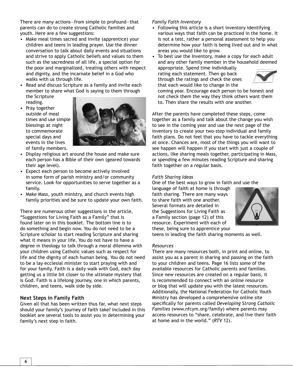There are many actions—from simple to profound—that parents can do to create strong Catholic families and youth. Here are a few suggestions:

- Make meal times sacred and invite (apprentice) your children and teens in leading prayer. Use the dinner conversation to talk about daily events and situations and strive to apply Catholic beliefs and values to them such as the sacredness of all life, a special option for the poor and marginalized, treating others with respect and dignity, and the incarnate belief in a God who walks with us through life.
- Read and discuss Scripture as a family and invite each member to share what God is saying to them through the Scripture
- reading. • Pray together outside of meal times and use simple blessings at night to commemorate special days and events in the lives of family members.



- Display religious art around the house and make sure each person has a Bible of their own (geared towards their age level).
- Expect each person to become actively involved in some form of parish ministry and/or community service. Look for opportunities to serve together as a family.
- Make Mass, youth ministry, and church events high family priorities and be sure to update your own faith.

There are numerous other suggestions in the article, "Suggestions for Living Faith as a Family" that is found later on in this booklet. The bottom line is to do something and begin now. You do not need to be a Scripture scholar to start reading Scripture and sharing what it means in your life. You do not have to have a degree in theology to talk through a moral dilemma with your children using Catholic values such as respect for life and the dignity of each human being. You do not need to be a lay ecclesial minister to start praying with and for your family. Faith is a daily walk with God, each day getting us a little bit closer to the ultimate mystery that is God. Faith is a lifelong journey, one in which parents, children, and teens, walk side by side.

#### **Next Steps in Family Faith**

Given all that has been written thus far, what next steps should your family's journey of faith take? Included in this booklet are several tools to assist you in determining your family's next step in faith.

### *Family Faith Inventory*

- Following this article is a short inventory identifying various ways that faith can be practiced in the home. It is not a test, rather a personal assessment to help you determine how your faith is being lived out and in what areas you would like to grow.
- To best use the Inventory, make a copy for each adult and any other family member in the household deemed appropriate. Spend time individually

rating each statement. Then go back through the ratings and check the ones that each would like to change in the



coming year. Encourage each person to be honest and not check them the way they think others want them to. Then share the results with one another.

After the parents have completed these steps, come together as a family and talk about the change you wish to see in the coming year and use the next page of the inventory to create your two-step individual and family faith plans. Do not feel that you have to tackle everything at once. Chances are, most of the things you will want to see happen will happen if you start with just a couple of actions, like sharing meals together, participating in Mass, or spending a few minutes reading Scripture and sharing faith together on a regular basis.

#### *Faith Sharing Ideas*

One of the best ways to grow in faith and use the

language of faith at home is through faith sharing. There are many ways to share faith with one another. Several formats are detailed in the Suggestions for Living Faith as a Family section (page 12) of this resource. Experiment with each of these, being sure to apprentice your



teens in leading the faith sharing moments as well.

#### *Resources*

There are many resources both, in print and online, to assist you as a parent in sharing and passing on the faith to your children and teens. Page 16 lists some of the available resources for Catholic parents and families. Since new resources are created on a regular basis, it is recommended to connect with an online resource or blog that will update you with the latest resources. Additionally, the National Federation for Catholic Youth Ministry has developed a comprehensive online site specifically for parents called *Developing Strong Catholic Families* (www.nfcym.org/family) where parents may access resources to "share, celebrate, and live their faith at home and in the world." (*RTV* 12).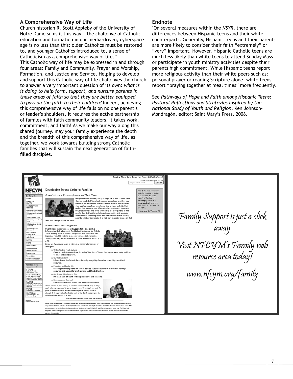### **A Comprehensive Way of Life**

Church historian R. Scott Appleby of the University of Notre Dame sums it this way: "the challenge of Catholic education and formation in our media-driven, cyberspace age is no less than this: older Catholics must be restored to, and younger Catholics introduced to, a sense of Catholicism as a comprehensive way of life." This Catholic way of life may be expressed in and through four areas: Family and Community, Prayer and Worship, Formation, and Justice and Service. Helping to develop and support this Catholic way of life challenges the church to answer a very important question of its own: *what is it doing to help form, support, and nurture parents in these areas of faith so that they are better equipped to pass on the faith to their children?* Indeed, achieving this comprehensive way of life falls on no one parent's or leader's shoulders, it requires the active partnership of familes with faith community leaders. It takes work, commitment, and faith! As we make our way along this shared journey, may your family experience the depth and the breadth of this comprehensive way of life, as together, we work towards building strong Catholic families that will sustain the next generation of faithfilled disciples.

#### **Endnote**

1 On several measures within the *NSYR,* there are differences between Hispanic teens and their white counterparts. Generally, Hispanic teens and their parents are more likely to consider their faith "extremely" or "very" important. However, Hispanic Catholic teens are much less likely than white teens to attend Sunday Mass or participate in youth ministry activities despite their parents high commitment. While Hispanic teens report more religious activity than their white peers such as: personal prayer or reading Scripture alone, white teens report "praying together at meal times" more frequently.

See *Pathways of Hope and Faith among Hispanic Teens:*  Pastoral Reflections and Strategies Inspired by the *National Study of Youth and Religion,* Ken Johnson-Mondragón, editor; Saint Mary's Press, 2008.

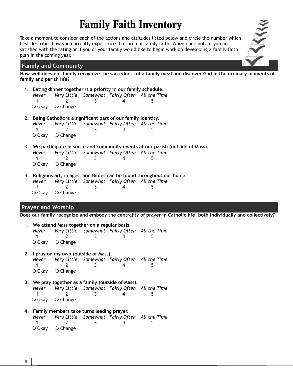### **Family Faith Inventory**

Take a moment to consider each of the actions and attitudes listed below and circle the number which best describes how you currently experience that area of family faith. When done note if you are satisfied with the rating or if you or your family would like to begin work on developing a family faith plan in the coming year.

### **Family and Community**

**How well does our family recognize the sacredness of a family meal and discover God in the ordinary moments of family and parish life?**

- **1. Eating dinner together is a priority in our family schedule.** *Never Very Little Somewhat Fairly Often All the Time*  1 2 3 4 5 O Okay O Change
- 2. Being Catholic is a significant part of our family identity. *Never Very Little Somewhat Fairly Often All the Time*  1 2 3 4 5 O Okay O Change
- **3. We participate in social and community events at our parish (outside of Mass).** *Never Very Little Somewhat Fairly Often All the Time*  1 2 3 4 5 O Okay O Change
- **4. Religious art, images, and Bibles can be found throughout our home.** *Never Very Little Somewhat Fairly Often All the Time*  1 2 3 4 5 O Okay O Change

### **Prayer and Worship**

**Does our family recognize and embody the centrality of prayer in Catholic life, both individually and collectively?**

| 1. We attend Mass together on a regular basis. |                                           |           |                                                      |  |
|------------------------------------------------|-------------------------------------------|-----------|------------------------------------------------------|--|
|                                                |                                           |           | Never Very Little Somewhat Fairly Often All the Time |  |
|                                                |                                           | $-3$ $-1$ | 4                                                    |  |
|                                                | $\overline{O}$ Okay $\overline{O}$ Change |           |                                                      |  |

- **2. I pray on my own (outside of Mass).** *Never Very Little Somewhat Fairly Often All the Time*  1 2 3 4 5 O Okay O Change
- **3. We pray together as a family (outside of Mass).** *Never Very Little Somewhat Fairly Often All the Time*  1 2 3 4 5 O Okay O Change
- **4. Family members take turns leading prayer.** *Never Very Little Somewhat Fairly Often All the Time*  1 2 3 4 5 O Okay O Change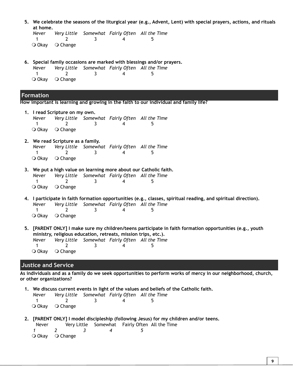| 5. We celebrate the seasons of the liturgical year (e.g., Advent, Lent) with special prayers, actions, and rituals |  |
|--------------------------------------------------------------------------------------------------------------------|--|
| at home.                                                                                                           |  |

*Never Very Little Somewhat Fairly Often All the Time*  1 2 3 4 5 O Okay O Change

**6. Special family occasions are marked with blessings and/or prayers.** *Never Very Little Somewhat Fairly Often All the Time*  1 2 3 4 5 O Okay O Change

### **Formation**

**How important is learning and growing in the faith to our individual and family life?**

- **Justice and Service 1. I read Scripture on my own.** *Never Very Little Somewhat Fairly Often All the Time*  1 2 3 4 5 O Okay O Change **2. We read Scripture as a family.** *Never Very Little Somewhat Fairly Often All the Time*  1 2 3 4 5 O Okay O Change **3. We put a high value on learning more about our Catholic faith.** *Never Very Little Somewhat Fairly Often All the Time*  1 2 3 4 5 O Okay O Change **4. I participate in faith formation opportunities (e.g., classes, spiritual reading, and spiritual direction).** *Never Very Little Somewhat Fairly Often All the Time*  1 2 3 4 5 O Okay O Change **5. [PARENT ONLY] I make sure my children/teens participate in faith formation opportunities (e.g., youth ministry, religious education, retreats, mission trips, etc.).** *Never Very Little Somewhat Fairly Often All the Time*  1 2 3 4 5 O Okay O Change **As individuals and as a family do we seek opportunities to perform works of mercy in our neighborhood, church, or other organizations?**
- **1. We discuss current events in light of the values and beliefs of the Catholic faith.** *Never Very Little Somewhat Fairly Often All the Time*  1 2 3 4 5

O Okay O Change

- **2. [PARENT ONLY] I model discipleship (following Jesus) for my children and/or teens.**
	- Never Very Little Somewhat Fairly Often All the Time *1 2 3 4 5* O Okay O Change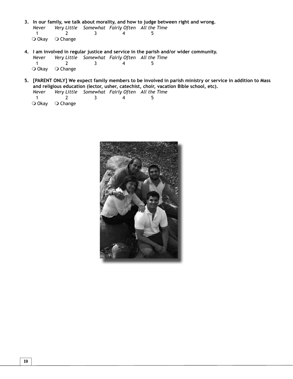- **3. In our family, we talk about morality, and how to judge between right and wrong.** *Never Very Little Somewhat Fairly Often All the Time*  1 2 3 4 5 O Okay O Change
- **4. I am involved in regular justice and service in the parish and/or wider community.**  *Never Very Little Somewhat Fairly Often All the Time*  1 2 3 4 5
	- O Okay O Change
- **5. [PARENT ONLY] We expect family members to be involved in parish ministry or service in addition to Mass and religious education (lector, usher, catechist, choir, vacation Bible school, etc).**

|                                           |  | Never Very Little Somewhat Fairly Often All the Time |
|-------------------------------------------|--|------------------------------------------------------|
|                                           |  |                                                      |
| $\overline{O}$ Okay $\overline{O}$ Change |  |                                                      |

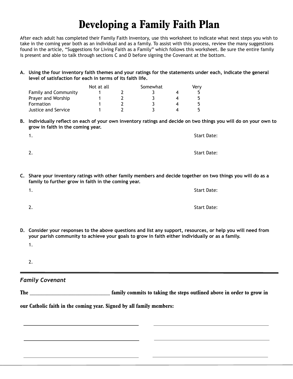### **Developing a Family Faith Plan**

After each adult has completed their Family Faith Inventory, use this worksheet to indicate what next steps you wish to take in the coming year both as an individual and as a family. To assist with this process, review the many suggestions found in the article, "Suggestions for Living Faith as a Family" which follows this worksheet. Be sure the entire family is present and able to talk through sections C and D before signing the Covenant at the bottom.

**A. Using the four inventory faith themes and your ratings for the statements under each, indicate the general level of satisfaction for each in terms of its faith life.**

|                             | Not at all | Somewhat | Verv |
|-----------------------------|------------|----------|------|
| <b>Family and Community</b> |            |          |      |
| Prayer and Worship          |            |          |      |
| Formation                   |            |          |      |
| Justice and Service         |            |          |      |

B. Individually reflect on each of your own inventory ratings and decide on two things you will do on your own to **grow in faith in the coming year.**

| 1. | Start Date:        |
|----|--------------------|
| 2. | <b>Start Date:</b> |

**C. Share your inventory ratings with other family members and decide together on two things you will do as a family to further grow in faith in the coming year.**

| 1. | <b>Start Date:</b> |
|----|--------------------|
| 2. | <b>Start Date:</b> |

- **D. Consider your responses to the above questions and list any support, resources, or help you will need from your parish community to achieve your goals to grow in faith either individually or as a family.** 
	- 1.
	- 2.

### *Family Covenant*

The **The steps in the steps of the steps outlined above in order to grow in**  $\mathbf{f}$ 

**our Catholic faith in the coming year. Signed by all family members:**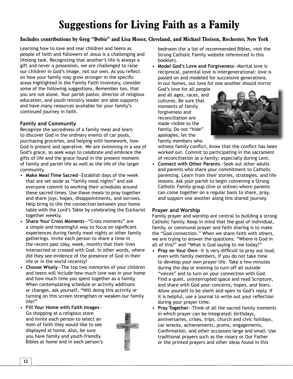### **Suggestions for Living Faith as a Family**

### **Includes contributions by Greg "Dobie" and Lisa Moser, Cleveland, and Michael Theisen, Rochester, New York**

Learning how to love and rear children and teens as people of faith and followers of Jesus is a challenging and lifelong task. Recognizing that another's life is always a gift and never a possession, we are challenged to raise our children in God's image, not our own. As you reflect on how your family may grow stronger in the specific areas highlighted in the Family Faith Inventory, consider some of the following suggestions. Remember too, that you are not alone. Your parish pastor, director of religious education, and youth ministry leader are able supports and have many resources available for your family's continued journey in faith.

### **Family and Community**

Recognize the sacredness of a family meal and learn to discover God in the ordinary events of car pools, purchasing groceries, and helping with homework, how God is present and operative. We are swimming in a sea of God's grace, so seek ways to celebrate and embrace the gifts of life and the grace found in the present moment of family and parish life as well as the life of the larger community.

- **Make Meal Time Sacred**—Establish days of the week that are set aside as "family meal nights" and ask everyone commit to working their schedules around these sacred times. Use these meals to pray together and share joys, hopes, disappointments, and sorrows. Help bring to life the connection between your home table with the Lord's Table by celebrating the Eucharist together weekly.
- **Share Your Cross Moments**—"Cross moments" are a simple and meaningful way to focus on significant experiences during family meal nights or other family gatherings. Invite each person to share a time in the recent past (day, week, month) that their lives intersected or crossed with God. In other words, where did they see evidence of the presence of God in their life or in the world recently?
- **Choose Wisely**—The top two memories of your children and teens will include how much love was in your home and how much time you spent together as a family. When contemplating schedule or activity additions or changes, ask yourself, "Will doing this activity or turning on this screen strengthen or weaken our family life?"
- **Fill Your Home with Faith Images** Go shopping at a religious store and invite each person to select an item of faith they would like to see displayed at home. Also, be sure you have family and youth-friendly Bibles at home and in each person's



bedroom (for a list of recommended Bibles, visit the Strong Catholic Family website referenced in this booklet).

• **Model God's Love and Forgiveness**—Marital love is reciprocal, parental love is intergenerational: love is passed on and modeled for successive generations. In our homes, our love for one another should mirror

God's love for all people and all ages, races, and cultures. Be sure that moments of family forgiveness and reconciliation are made visible to the family. Do not "hide" apologies, let the family members who



witness family conflict, know that the conflict has been worked out. Commit to participating in the sacrament of reconciliation as a family; especially during Lent.

• **Connect with Other Parents**—Seek out other adults and parents who share your commitment to Catholic parenting. Learn from their stories, strategies, and life lessons. Ask your parish to begin convening a Strong Catholic Family group (live or online) where parents can come together on a regular basis to share, pray, and support one another along this shared journey.

#### **Prayer and Worship**

Family prayer and worship are central to building a strong Catholic family. Keep in mind that the goal of individual, family, or communal prayer and faith sharing is to make the "God connection." When we share faith with others, we are trying to answer the questions: "Where is God in all of this?" and "What is God saying to me today?"

- Pray on Your Own-It is very difficult to pray out loud, even with family members, if you do not take time to develop your own prayer life. Take a few minutes during the day or evening to turn off all outside "voices" and to turn on your connection with God. Find a quiet, uninterrupted space and read Scripture, and share with God your concerns, hopes, and fears. Allow yourself to be silent and open to God's reply. If it is helpful, use a journal to write out your reflection during your prayer time.
- **Pray Together**—Think of all the sacred family moments in which prayer can be integrated: birthdays, anniversaries, crises, trips, church and civic holidays, car wrecks, achievements, proms, engagements, Confirmation, and other occasions large and small. Use traditional prayers such as the rosary or Our Father or the printed prayers and other ideas found in this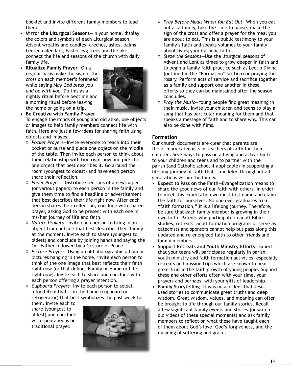booklet and invite different family members to lead them.

- M**irror the Liturgical Seasons**—In your home, display the colors and symbols of each Liturgical season. Advent wreaths and candles, crèches, ashes, palms, Lenten calendars, Easter egg trees and the like, connect the life and seasons of the church with daily family life.
- **Ritualize Family Prayer**—On a regular basis make the sign of the cross on each member's forehead while saying *May God bless you and be with you.* Do this as a nightly ritual before bedtime and a morning ritual before leaving the home or going on a trip.



• **Be Creative with Family Prayer**—

To engage the minds of young and old alike, use objects or images to help family members connect life with faith. Here are just a few ideas for sharing faith using objects and images:

- ¹ *Pocket Prayers*—Invite everyone to reach into their pocket or purse and place one object on the middle of the table. Then invite each person to think about their relationship with God right now and pick the one object that best describes it. Go around the room (youngest to oldest) and have each person share their reflection.
- ¹ *Paper Prayers*—Distribute sections of a newspaper (or various papers) to each person in the family and give them time to find a headline or advertisement that best describes their life right now. After each person shares their reflection, conclude with shared prayer, asking God to be present with each one in his/her journey of life and faith.
- ¹ *Nature Prayers*—Invite each person to bring in an object from outside that best describes their family at the moment. Invite each to share (youngest to oldest) and conclude by joining hands and saying the Our Father followed by a Gesture of Peace.
- ¹ *Picture Prayers*—Using an old photographic album or pictures hanging in the home, invite each person to think of the one image that best reflects their faith right now (or that defines Family or Home or Life right now). Invite each to share and conclude with each person offering a prayer intention.
- ¹ *Cupboard Prayers*—Invite each person to select a food item that is in the home (cupboard or refrigerator) that best symbolizes the past week for

them. Invite each to share (youngest to oldest) and conclude with spontaneous or traditional prayer.



- ¹ *Pray Before Meals When You Eat Out*—When you eat out as a family, take the time to pause, make the sign of the cross and offer a prayer for the meal you are about to eat. This is a public testimony to your family's faith and speaks volumes to your family about living your Catholic faith.
- ¹ *Sieze the Seasons*—Use the liturgical seasons of Advent and Lent as times to grow deeper in faith and to begin a family faith practice such as Lectio Divina (outlined in the "Formation" section) or praying the rosary. Perform acts of service and sacrifice together as a family and support one another in these efforts so they can be maintained after the season concludes.
- ↑ Pray the Music–Young people find great meaning in their music. Invite your children and teens to play a song that has particular meaning for them and that speaks a message of faith and to share why. This can also be done with films.

### **Formation**

Our church documents are clear that parents are the primary catechists or teachers of faith for their children. Seek ways to pass on a living and active faith to your children and teens and to partner with the parish (and Catholic school if applicable) in supporting a lifelong journey of faith that is modeled throughout all generations within the family.

- **Expect to Pass on the Faith**—Evangelization means to share the good news of our faith with others. In order to meet this expectation we must first name and claim the faith for ourselves. No one ever graduates from "faith formation," it is a lifelong journey. Therefore, be sure that each family member is growing in their own faith. Parents who participate in adult Bible studies, retreats, adult formation programs or serve as catechists and sponsors cannot help but pass along this updated and re-energized faith to other friends and family members.
- **Support Retreats and Youth Ministry Efforts**—Expect that your teens will participate regularly in parish youth ministry and faith formation activities, especially retreats and mission trips which are known to bear great fruit in the faith growth of young people. Support these and other efforts often with your time, your prayers and perhaps, with your gifts of leadership.
- **Family Storytelling**—It was no accident that Jesus used stories to communicate great truths and deep wisdom. Great wisdom, values, and meaning can often be brought to life through our family stories. Recall a few significant family events and stories (or watch old videos of these special moments) and ask family members to reflect on what these have taught each of them about God's love, God's forgiveness, and the meaning of suffering and grace.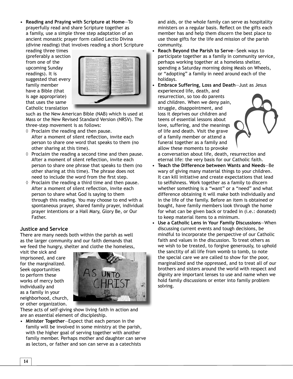• **Reading and Praying with Scripture at Home**—To prayerfully read and share Scripture together as a family, use a simple three step adaptation of an ancient monastic prayer form called Lectio Divina (divine reading) that involves reading a short Scripture

reading three times (preferably a section from one of the upcoming Sunday readings). It is suggested that every family member have a Bible (that is age appropriate) that uses the same Catholic translation



such as the New American Bible (NAB) which is used at Mass or the New Revised Standard Version (NRSV). The three-step movement is as follows:

- $\diamond$  Proclaim the reading and then pause. After a moment of silent reflection, invite each person to share one word that speaks to them (no other sharing at this time).
- $\Diamond$  Proclaim the reading a second time and then pause. After a moment of silent reflection, invite each person to share one phrase that speaks to them (no other sharing at this time). The phrase does not need to include the word from the first step.
- $\Diamond$  Proclaim the reading a third time and then pause. After a moment of silent reflection, invite each person to share what God is saying to them through this reading. You may choose to end with a spontaneous prayer, shared family prayer, individual prayer intentions or a Hail Mary, Glory Be, or Our Father.

### **Justice and Service**

There are many needs both within the parish as well as the larger community and our faith demands that we feed the hungry, shelter and clothe the homeless,

visit the sick and imprisoned, and care for the marginalized. Seek opportunities to perform these works of mercy both individually and as a family in your neighborhood, church, or other organization.



These acts of self-giving show living faith in action and are an essential element of discipleship.

• **Minister Together**—Expect that each person in the family will be involved in some ministry at the parish, with the higher goal of serving together with another family member. Perhaps mother and daughter can serve as lectors, or father and son can serve as a catechists

and aids, or the whole family can serve as hospitality ministers on a regular basis. Reflect on the gifts each member has and help them discern the best place to use those gifts for the life and mission of the parish community.

- **Reach Beyond the Parish to Serve**—Seek ways to participate together as a family in community service, perhaps working together at a homeless shelter, spending a Saturday morning doing Meals on Wheels, or "adopting" a family in need around each of the holidays.
- **Embrace Suffering, Loss and Death**—Just as Jesus experienced life, death, and resurrection, so too do parents and children. When we deny pain, struggle, disappointment, and loss it deprives our children and teens of essential lessons about love, suffering, and the meanings of life and death. Visit the grave of a family member or attend a funeral together as a family and allow these moments to provoke

a conversation about life, death, resurrection and eternal life: the very basis for our Catholic faith.

- **Teach the Difference between Wants and Needs**—Be wary of giving many material things to your children. It can kill initiative and create expectations that lead to selfishness. Work together as a family to discern whether something is a "want" or a "need" and what difference obtaining it will make both individually and in the life of the family. Before an item is obtained or bought, have family members look through the home for what can be given back or traded in (i.e.: donated) to keep material items to a minimum.
- **Use a Catholic Lens in Your Family Discussions**—When discussing current events and tough decisions, be mindful to incorporate the perspective of our Catholic faith and values in the discussion. To treat others as we wish to be treated, to forgive generously, to uphold the sanctity of all life from womb to tomb, to note the special care we are called to show for the poor, marginalized and the oppressed, and to treat all of our brothers and sisters around the world with respect and dignity are important lenses to use and name when we hold family discussions or enter into family problem solving.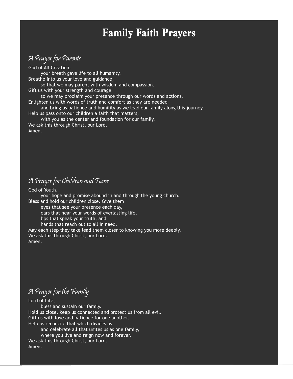### **Family Faith Prayers**

### A Prayer for Parents

God of All Creation, your breath gave life to all humanity. Breathe into us your love and guidance, so that we may parent with wisdom and compassion. Gift us with your strength and courage so we may proclaim your presence through our words and actions. Enlighten us with words of truth and comfort as they are needed and bring us patience and humility as we lead our family along this journey. Help us pass onto our children a faith that matters, with you as the center and foundation for our family. We ask this through Christ, our Lord. Amen.

### A Prayer for Children and Teens

God of Youth, your hope and promise abound in and through the young church. Bless and hold our children close. Give them eyes that see your presence each day, ears that hear your words of everlasting life, lips that speak your truth, and hands that reach out to all in need. May each step they take lead them closer to knowing you more deeply. We ask this through Christ, our Lord. Amen.

### A Prayer for the Family

Lord of Life,

 bless and sustain our family. Hold us close, keep us connected and protect us from all evil. Gift us with love and patience for one another. Help us reconcile that which divides us and celebrate all that unites us as one family,

 where you live and reign now and forever. We ask this through Christ, our Lord. Amen.